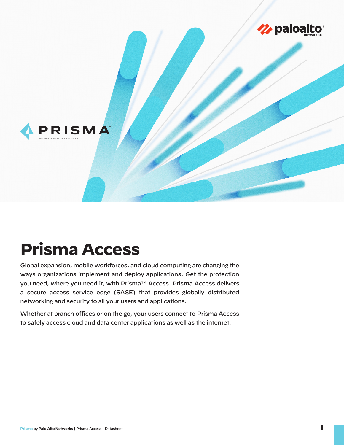

# **Prisma Access**

Global expansion, mobile workforces, and cloud computing are changing the ways organizations implement and deploy applications. Get the protection you need, where you need it, with Prisma™ Access. Prisma Access delivers a secure access service edge (SASE) that provides globally distributed networking and security to all your users and applications.

Whether at branch offices or on the go, your users connect to Prisma Access to safely access cloud and data center applications as well as the internet.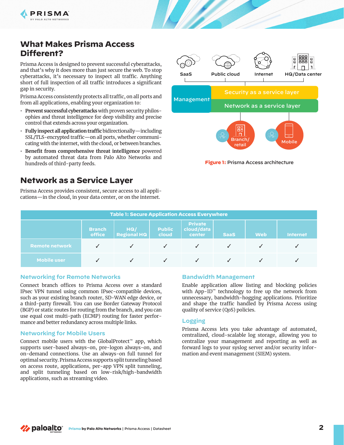

## **What Makes Prisma Access Different?**

Prisma Access is designed to prevent successful cyberattacks, and that's why it does more than just secure the web. To stop cyberattacks, it's necessary to inspect all traffic. Anything short of full inspection of all traffic introduces a significant gap in security.

Prisma Access consistently protects all traffic, on all ports and from all applications, enabling your organization to:

- **Prevent successful cyberattacks** with proven security philosophies and threat intelligence for deep visibility and precise control that extends across your organization.
- **Fully inspect all application traffic** bidirectionally—including SSL/TLS-encrypted traffic—on all ports, whether communicating with the internet, with the cloud, or between branches.
- **Benefit from comprehensive threat intelligence** powered by automated threat data from Palo Alto Networks and hundreds of third-party feeds.

## **Network as a Service Layer**

Prisma Access provides consistent, secure access to all applications—in the cloud, in your data center, or on the internet.



**Figure 1:** Prisma Access architecture

| <b>Table 1: Secure Application Access Everywhere</b> |                         |                           |                        |                                        |             |            |                 |  |
|------------------------------------------------------|-------------------------|---------------------------|------------------------|----------------------------------------|-------------|------------|-----------------|--|
|                                                      | <b>Branch</b><br>office | HQ/<br><b>Regional HQ</b> | <b>Public</b><br>cloud | <b>Private</b><br>cloud/data<br>center | <b>SaaS</b> | <b>Web</b> | <b>Internet</b> |  |
| <b>Remote network</b>                                |                         |                           |                        |                                        |             |            |                 |  |
| <b>Mobile user</b>                                   |                         |                           |                        |                                        |             |            |                 |  |

#### **Networking for Remote Networks**

Connect branch offices to Prisma Access over a standard IPsec VPN tunnel using common IPsec-compatible devices, such as your existing branch router, SD-WAN edge device, or a third-party firewall. You can use Border Gateway Protocol (BGP) or static routes for routing from the branch, and you can use equal cost multi-path (ECMP) routing for faster performance and better redundancy across multiple links.

#### **Networking for Mobile Users**

Connect mobile users with the GlobalProtect™ app, which supports user-based always-on, pre-logon always-on, and on-demand connections. Use an always-on full tunnel for optimal security. Prisma Access supports split tunneling based on access route, applications, per-app VPN split tunneling, and split tunneling based on low-risk/high-bandwidth applications, such as streaming video.

#### **Bandwidth Management**

Enable application allow listing and blocking policies with App-ID™ technology to free up the network from unnecessary, bandwidth-hogging applications. Prioritize and shape the traffic handled by Prisma Access using quality of service (QoS) policies.

#### **Logging**

Prisma Access lets you take advantage of automated, centralized, cloud-scalable log storage, allowing you to centralize your management and reporting as well as forward logs to your syslog server and/or security information and event management (SIEM) system.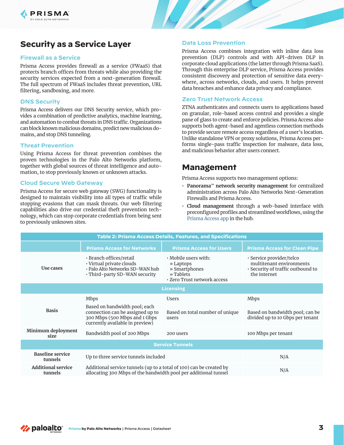



#### **Firewall as a Service**

Prisma Access provides firewall as a service (FWaaS) that protects branch offices from threats while also providing the security services expected from a next-generation firewall. The full spectrum of FWaaS includes threat prevention, URL filtering, sandboxing, and more.

#### **DNS Security**

Prisma Access delivers our DNS Security service, which provides a combination of predictive analytics, machine learning, and automation to combat threats in DNS traffic. Organizations can block known malicious domains, predict new malicious domains, and stop DNS tunneling.

#### **Threat Prevention**

Using Prisma Access for threat prevention combines the proven technologies in the Palo Alto Networks platform, together with global sources of threat intelligence and automation, to stop previously known or unknown attacks.

#### **Cloud Secure Web Gateway**

Prisma Access for secure web gateway (SWG) functionality is designed to maintain visibility into all types of traffic while stopping evasions that can mask threats. Our web filtering capabilities also drive our credential theft prevention technology, which can stop corporate credentials from being sent to previously unknown sites.

#### **Data Loss Prevention**

Prisma Access combines integration with inline data loss prevention (DLP) controls and with API-driven DLP in corporate cloud applications (the latter through Prisma SaaS). Through this enterprise DLP service, Prisma Access provides consistent discovery and protection of sensitive data everywhere, across networks, clouds, and users. It helps prevent data breaches and enhance data privacy and compliance.

#### **Zero Trust Network Access**

ZTNA authenticates and connects users to applications based on granular, role-based access control and provides a single pane of glass to create and enforce policies. Prisma Access also supports both agent-based and agentless connection methods to provide secure remote access regardless of a user's location. Unlike standalone VPN or proxy solutions, Prisma Access performs single-pass traffic inspection for malware, data loss, and malicious behavior after users connect.

### **Management**

Prisma Access supports two management options:

- **Panorama™ network security management** for centralized administration across Palo Alto Networks Next-Generation Firewalls and Prisma Access.
- **Cloud management** through a web-based interface with preconfigured profiles and streamlined workflows, using the [Prisma Access app](https://apps.paloaltonetworks.com/marketplace/prisma_access) in the hub.

| <b>Table 2: Prisma Access Details, Features, and Specifications</b> |                                                                                                                                        |                                                                                                      |                                                                                                           |  |  |  |  |  |
|---------------------------------------------------------------------|----------------------------------------------------------------------------------------------------------------------------------------|------------------------------------------------------------------------------------------------------|-----------------------------------------------------------------------------------------------------------|--|--|--|--|--|
|                                                                     | <b>Prisma Access for Networks</b>                                                                                                      | <b>Prisma Access for Users</b>                                                                       | <b>Prisma Access for Clean Pipe</b>                                                                       |  |  |  |  |  |
| Use cases                                                           | · Branch offices/retail<br>· Virtual private clouds<br>· Palo Alto Networks SD-WAN hub<br>· Third-party SD-WAN security                | $\cdot$ Mobile users with:<br>» Laptops<br>» Smartphones<br>» Tablets<br>· Zero Trust network access | · Service provider/telco<br>multitenant environments<br>• Security of traffic outbound to<br>the internet |  |  |  |  |  |
| <b>Licensing</b>                                                    |                                                                                                                                        |                                                                                                      |                                                                                                           |  |  |  |  |  |
|                                                                     | Mbps                                                                                                                                   | Users                                                                                                | <b>Mbps</b>                                                                                               |  |  |  |  |  |
| <b>Basis</b>                                                        | Based on bandwidth pool; each<br>connection can be assigned up to<br>300 Mbps (500 Mbps and 1 Gbps<br>currently available in preview)  | Based on total number of unique<br>users                                                             | Based on bandwidth pool; can be<br>divided up to 10 Gbps per tenant                                       |  |  |  |  |  |
| Minimum deployment<br>size                                          | Bandwidth pool of 200 Mbps                                                                                                             | 200 users                                                                                            | 100 Mbps per tenant                                                                                       |  |  |  |  |  |
| <b>Service Tunnels</b>                                              |                                                                                                                                        |                                                                                                      |                                                                                                           |  |  |  |  |  |
| <b>Baseline service</b><br>tunnels                                  | Up to three service tunnels included                                                                                                   | N/A                                                                                                  |                                                                                                           |  |  |  |  |  |
| <b>Additional service</b><br>tunnels                                | Additional service tunnels (up to a total of 100) can be created by<br>allocating 300 Mbps of the bandwidth pool per additional tunnel | N/A                                                                                                  |                                                                                                           |  |  |  |  |  |